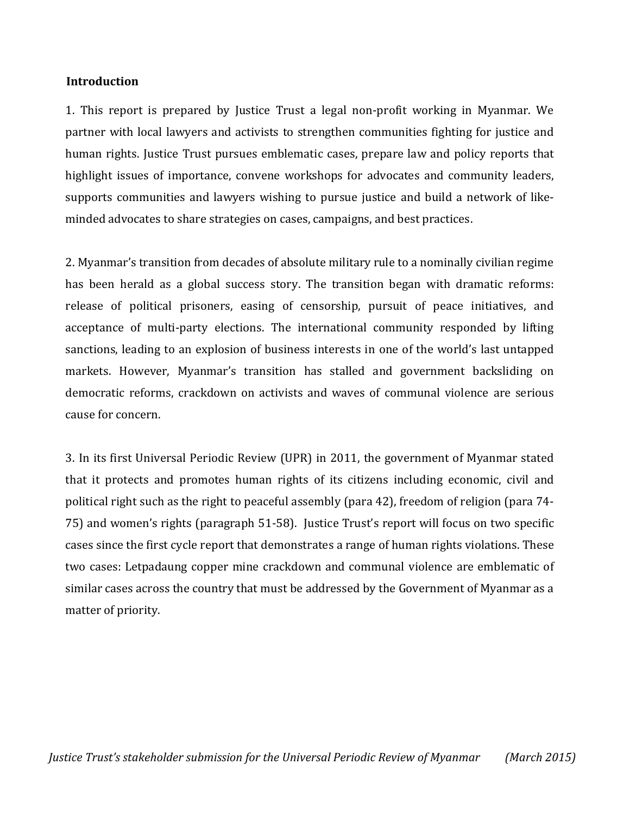## **Introduction**

1. This report is prepared by Justice Trust a legal non-profit working in Myanmar. We partner with local lawyers and activists to strengthen communities fighting for justice and human rights. Justice Trust pursues emblematic cases, prepare law and policy reports that highlight issues of importance, convene workshops for advocates and community leaders, supports communities and lawyers wishing to pursue justice and build a network of likeminded advocates to share strategies on cases, campaigns, and best practices.

2. Myanmar's transition from decades of absolute military rule to a nominally civilian regime has been herald as a global success story. The transition began with dramatic reforms: release of political prisoners, easing of censorship, pursuit of peace initiatives, and acceptance of multi-party elections. The international community responded by lifting sanctions, leading to an explosion of business interests in one of the world's last untapped markets. However, Myanmar's transition has stalled and government backsliding on democratic reforms, crackdown on activists and waves of communal violence are serious cause for concern.

3. In its first Universal Periodic Review (UPR) in 2011, the government of Myanmar stated that it protects and promotes human rights of its citizens including economic, civil and political right such as the right to peaceful assembly (para 42), freedom of religion (para 74- 75) and women's rights (paragraph 51-58). Justice Trust's report will focus on two specific cases since the first cycle report that demonstrates a range of human rights violations. These two cases: Letpadaung copper mine crackdown and communal violence are emblematic of similar cases across the country that must be addressed by the Government of Myanmar as a matter of priority.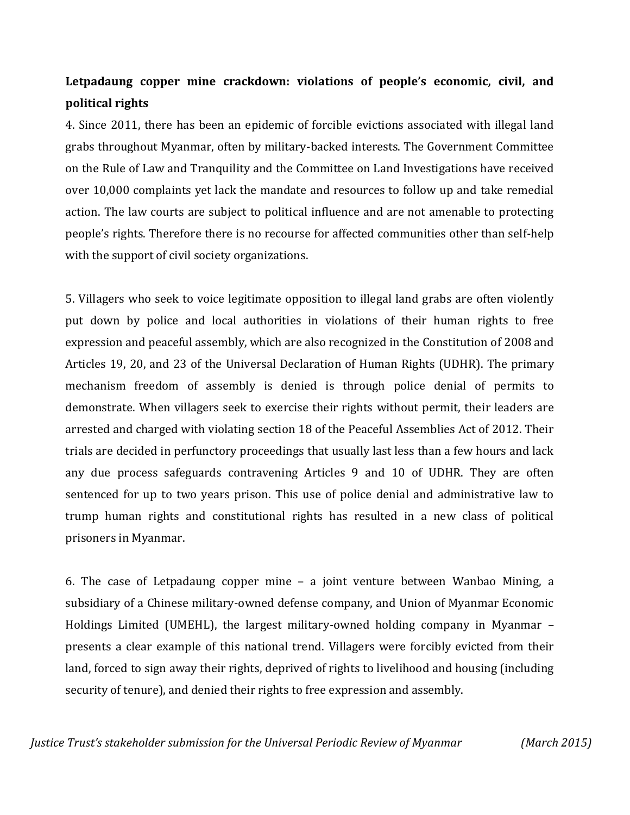## **Letpadaung copper mine crackdown: violations of people's economic, civil, and political rights**

4. Since 2011, there has been an epidemic of forcible evictions associated with illegal land grabs throughout Myanmar, often by military-backed interests. The Government Committee on the Rule of Law and Tranquility and the Committee on Land Investigations have received over 10,000 complaints yet lack the mandate and resources to follow up and take remedial action. The law courts are subject to political influence and are not amenable to protecting people's rights. Therefore there is no recourse for affected communities other than self-help with the support of civil society organizations.

5. Villagers who seek to voice legitimate opposition to illegal land grabs are often violently put down by police and local authorities in violations of their human rights to free expression and peaceful assembly, which are also recognized in the Constitution of 2008 and Articles 19, 20, and 23 of the Universal Declaration of Human Rights (UDHR). The primary mechanism freedom of assembly is denied is through police denial of permits to demonstrate. When villagers seek to exercise their rights without permit, their leaders are arrested and charged with violating section 18 of the Peaceful Assemblies Act of 2012. Their trials are decided in perfunctory proceedings that usually last less than a few hours and lack any due process safeguards contravening Articles 9 and 10 of UDHR. They are often sentenced for up to two years prison. This use of police denial and administrative law to trump human rights and constitutional rights has resulted in a new class of political prisoners in Myanmar.

6. The case of Letpadaung copper mine – a joint venture between Wanbao Mining, a subsidiary of a Chinese military-owned defense company, and Union of Myanmar Economic Holdings Limited (UMEHL), the largest military-owned holding company in Myanmar – presents a clear example of this national trend. Villagers were forcibly evicted from their land, forced to sign away their rights, deprived of rights to livelihood and housing (including security of tenure), and denied their rights to free expression and assembly.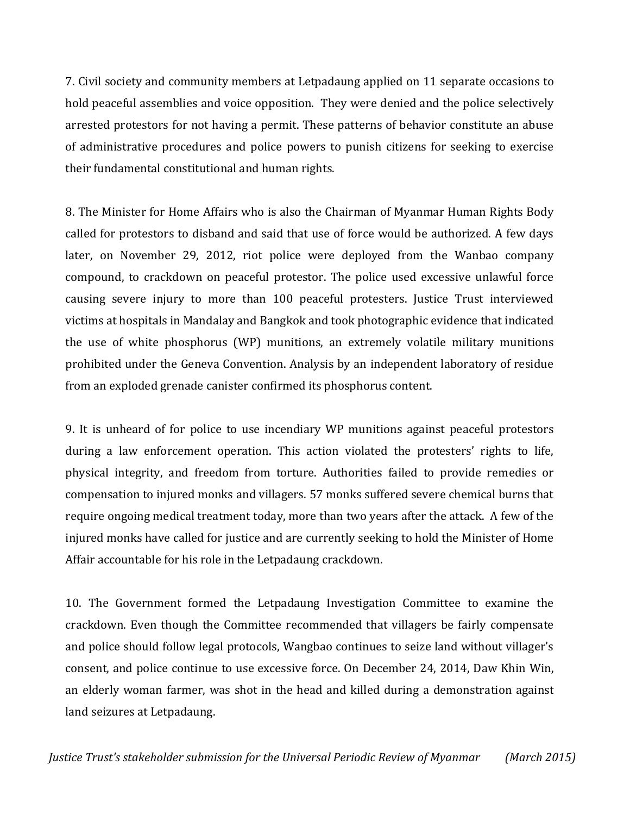7. Civil society and community members at Letpadaung applied on 11 separate occasions to hold peaceful assemblies and voice opposition. They were denied and the police selectively arrested protestors for not having a permit. These patterns of behavior constitute an abuse of administrative procedures and police powers to punish citizens for seeking to exercise their fundamental constitutional and human rights.

8. The Minister for Home Affairs who is also the Chairman of Myanmar Human Rights Body called for protestors to disband and said that use of force would be authorized. A few days later, on November 29, 2012, riot police were deployed from the Wanbao company compound, to crackdown on peaceful protestor. The police used excessive unlawful force causing severe injury to more than 100 peaceful protesters. Justice Trust interviewed victims at hospitals in Mandalay and Bangkok and took photographic evidence that indicated the use of white phosphorus (WP) munitions, an extremely volatile military munitions prohibited under the Geneva Convention. Analysis by an independent laboratory of residue from an exploded grenade canister confirmed its phosphorus content.

9. It is unheard of for police to use incendiary WP munitions against peaceful protestors during a law enforcement operation. This action violated the protesters' rights to life, physical integrity, and freedom from torture. Authorities failed to provide remedies or compensation to injured monks and villagers. 57 monks suffered severe chemical burns that require ongoing medical treatment today, more than two years after the attack. A few of the injured monks have called for justice and are currently seeking to hold the Minister of Home Affair accountable for his role in the Letpadaung crackdown.

10. The Government formed the Letpadaung Investigation Committee to examine the crackdown. Even though the Committee recommended that villagers be fairly compensate and police should follow legal protocols, Wangbao continues to seize land without villager's consent, and police continue to use excessive force. On December 24, 2014, Daw Khin Win, an elderly woman farmer, was shot in the head and killed during a demonstration against land seizures at Letpadaung.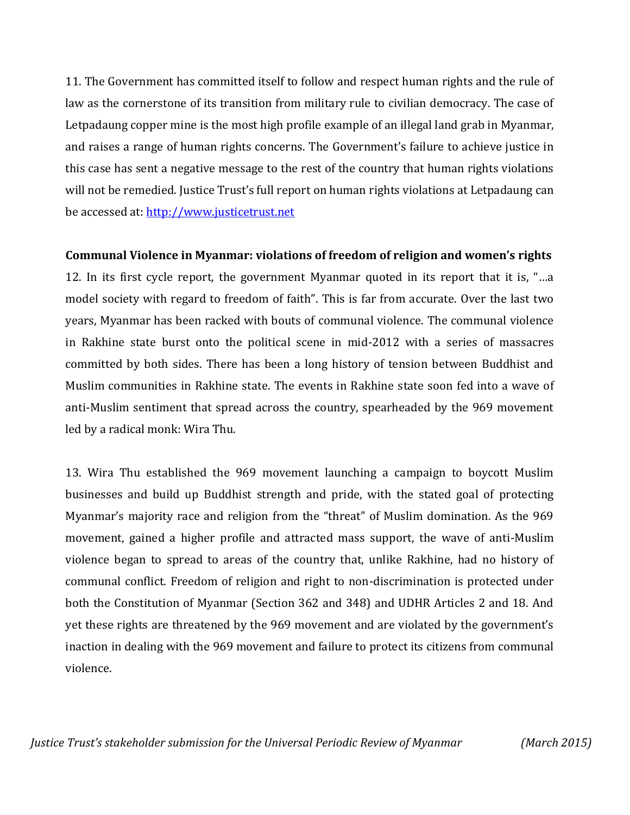11. The Government has committed itself to follow and respect human rights and the rule of law as the cornerstone of its transition from military rule to civilian democracy. The case of Letpadaung copper mine is the most high profile example of an illegal land grab in Myanmar, and raises a range of human rights concerns. The Government's failure to achieve justice in this case has sent a negative message to the rest of the country that human rights violations will not be remedied. Justice Trust's full report on human rights violations at Letpadaung can be accessed at: [http://www.justicetrust.net](http://www.justicetrust.net/)

## **Communal Violence in Myanmar: violations of freedom of religion and women's rights**

12. In its first cycle report, the government Myanmar quoted in its report that it is, "…a model society with regard to freedom of faith". This is far from accurate. Over the last two years, Myanmar has been racked with bouts of communal violence. The communal violence in Rakhine state burst onto the political scene in mid-2012 with a series of massacres committed by both sides. There has been a long history of tension between Buddhist and Muslim communities in Rakhine state. The events in Rakhine state soon fed into a wave of anti-Muslim sentiment that spread across the country, spearheaded by the 969 movement led by a radical monk: Wira Thu.

13. Wira Thu established the 969 movement launching a campaign to boycott Muslim businesses and build up Buddhist strength and pride, with the stated goal of protecting Myanmar's majority race and religion from the "threat" of Muslim domination. As the 969 movement, gained a higher profile and attracted mass support, the wave of anti-Muslim violence began to spread to areas of the country that, unlike Rakhine, had no history of communal conflict. Freedom of religion and right to non-discrimination is protected under both the Constitution of Myanmar (Section 362 and 348) and UDHR Articles 2 and 18. And yet these rights are threatened by the 969 movement and are violated by the government's inaction in dealing with the 969 movement and failure to protect its citizens from communal violence.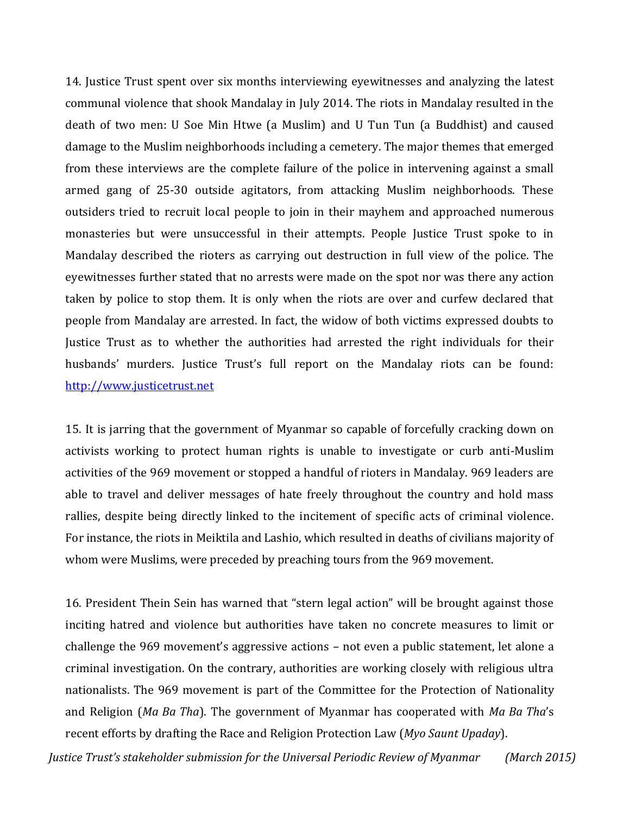14. Justice Trust spent over six months interviewing eyewitnesses and analyzing the latest communal violence that shook Mandalay in July 2014. The riots in Mandalay resulted in the death of two men: U Soe Min Htwe (a Muslim) and U Tun Tun (a Buddhist) and caused damage to the Muslim neighborhoods including a cemetery. The major themes that emerged from these interviews are the complete failure of the police in intervening against a small armed gang of 25-30 outside agitators, from attacking Muslim neighborhoods. These outsiders tried to recruit local people to join in their mayhem and approached numerous monasteries but were unsuccessful in their attempts. People Justice Trust spoke to in Mandalay described the rioters as carrying out destruction in full view of the police. The eyewitnesses further stated that no arrests were made on the spot nor was there any action taken by police to stop them. It is only when the riots are over and curfew declared that people from Mandalay are arrested. In fact, the widow of both victims expressed doubts to Justice Trust as to whether the authorities had arrested the right individuals for their husbands' murders. Justice Trust's full report on the Mandalay riots can be found: [http://www.justicetrust.net](http://www.justicetrust.net/)

15. It is jarring that the government of Myanmar so capable of forcefully cracking down on activists working to protect human rights is unable to investigate or curb anti-Muslim activities of the 969 movement or stopped a handful of rioters in Mandalay. 969 leaders are able to travel and deliver messages of hate freely throughout the country and hold mass rallies, despite being directly linked to the incitement of specific acts of criminal violence. For instance, the riots in Meiktila and Lashio, which resulted in deaths of civilians majority of whom were Muslims, were preceded by preaching tours from the 969 movement.

16. President Thein Sein has warned that "stern legal action" will be brought against those inciting hatred and violence but authorities have taken no concrete measures to limit or challenge the 969 movement's aggressive actions – not even a public statement, let alone a criminal investigation. On the contrary, authorities are working closely with religious ultra nationalists. The 969 movement is part of the Committee for the Protection of Nationality and Religion (*Ma Ba Tha*). The government of Myanmar has cooperated with *Ma Ba Tha*'s recent efforts by drafting the Race and Religion Protection Law (*Myo Saunt Upaday*).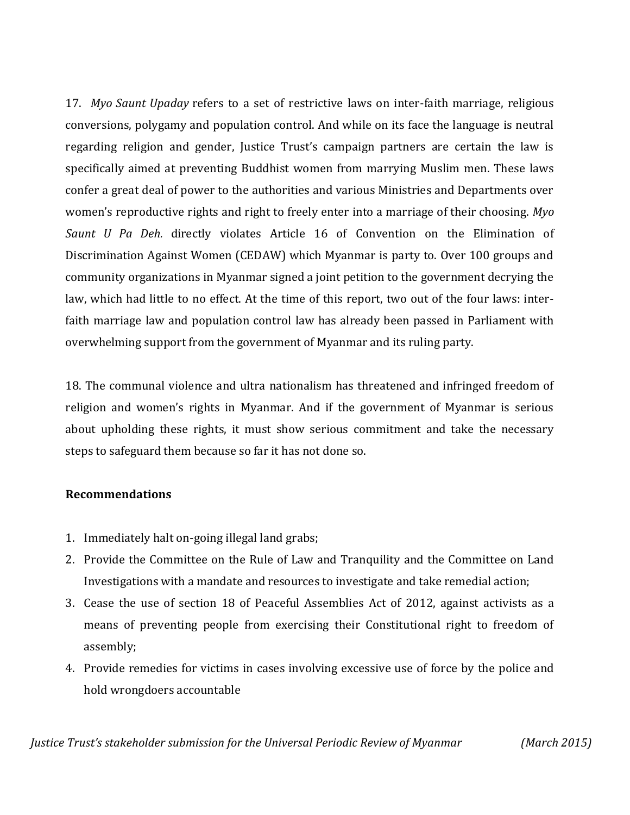17. *Myo Saunt Upaday* refers to a set of restrictive laws on inter-faith marriage, religious conversions, polygamy and population control. And while on its face the language is neutral regarding religion and gender, Justice Trust's campaign partners are certain the law is specifically aimed at preventing Buddhist women from marrying Muslim men. These laws confer a great deal of power to the authorities and various Ministries and Departments over women's reproductive rights and right to freely enter into a marriage of their choosing. *Myo Saunt U Pa Deh.* directly violates Article 16 of Convention on the Elimination of Discrimination Against Women (CEDAW) which Myanmar is party to. Over 100 groups and community organizations in Myanmar signed a joint petition to the government decrying the law, which had little to no effect. At the time of this report, two out of the four laws: interfaith marriage law and population control law has already been passed in Parliament with overwhelming support from the government of Myanmar and its ruling party.

18. The communal violence and ultra nationalism has threatened and infringed freedom of religion and women's rights in Myanmar. And if the government of Myanmar is serious about upholding these rights, it must show serious commitment and take the necessary steps to safeguard them because so far it has not done so.

## **Recommendations**

- 1. Immediately halt on-going illegal land grabs;
- 2. Provide the Committee on the Rule of Law and Tranquility and the Committee on Land Investigations with a mandate and resources to investigate and take remedial action;
- 3. Cease the use of section 18 of Peaceful Assemblies Act of 2012, against activists as a means of preventing people from exercising their Constitutional right to freedom of assembly;
- 4. Provide remedies for victims in cases involving excessive use of force by the police and hold wrongdoers accountable